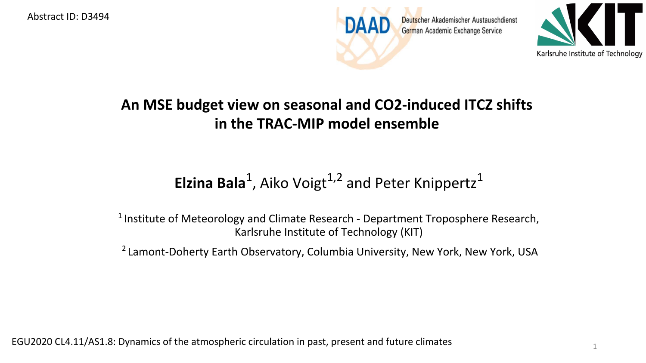Abstract ID: D3494





1

## **An MSE budget view on seasonal and CO2-induced ITCZ shifts in the TRAC-MIP model ensemble**

## **Elzina Bala**<sup>1</sup>, Aiko Voigt<sup>1,2</sup> and Peter Knippertz<sup>1</sup>

<sup>1</sup> Institute of Meteorology and Climate Research - Department Troposphere Research, Karlsruhe Institute of Technology (KIT)

<sup>2</sup> Lamont-Doherty Earth Observatory, Columbia University, New York, New York, USA

EGU2020 CL4.11/AS1.8: Dynamics of the atmospheric circulation in past, present and future climates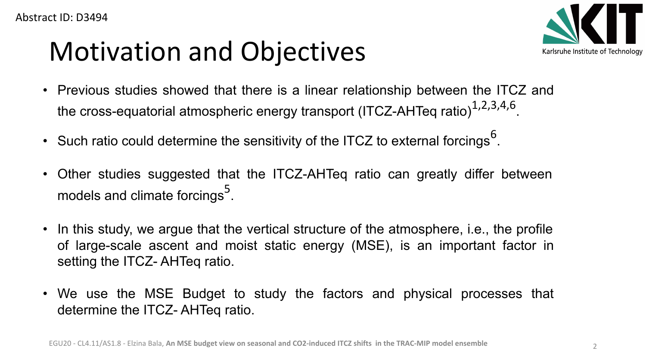## Motivation and Objectives



- Previous studies showed that there is a linear relationship between the ITCZ and the cross-equatorial atmospheric energy transport (ITCZ-AHTeq ratio) $^{\rm 1,2,3,4,6}.$
- Such ratio could determine the sensitivity of the ITCZ to external forcings  $^6$ .
- Other studies suggested that the ITCZ-AHTeq ratio can greatly differ between models and climate forcings $^{\mathsf{5}}$ .
- In this study, we argue that the vertical structure of the atmosphere, i.e., the profile of large-scale ascent and moist static energy (MSE), is an important factor in setting the ITCZ- AHTeq ratio.
- We use the MSE Budget to study the factors and physical processes that determine the ITCZ- AHTeq ratio.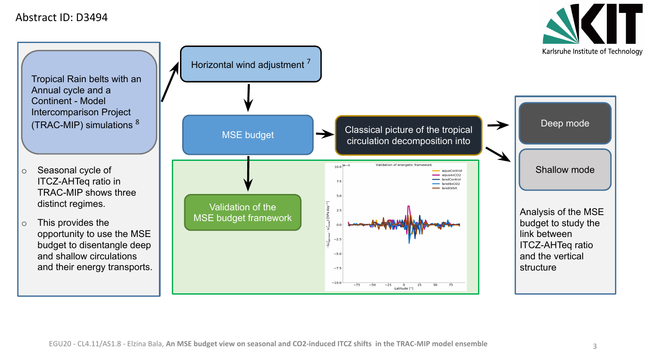Abstract ID: D3494

Karlsruhe Institute of Technology

Tropical Rain belts with an Annual cycle and a Continent - Model Intercomparison Project (TRAC-MIP) simulations <sup>8</sup>

o Seasonal cycle of ITCZ-AHTeq ratio in TRAC-MIP shows three distinct regimes.

o This provides the opportunity to use the MSE budget to disentangle deep and shallow circulations and their energy transports.